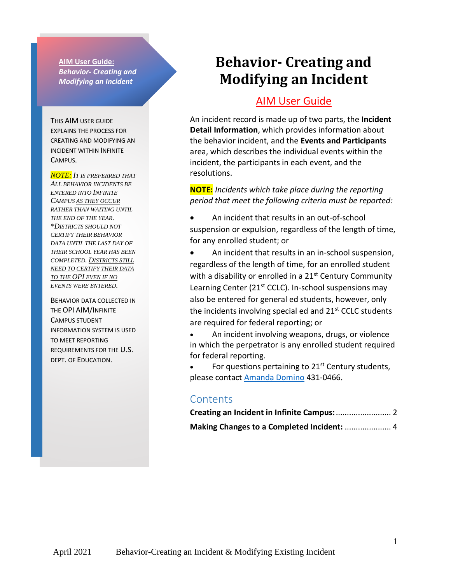**AIM User Guide:** *Behavior- Creating and Modifying an Incident* 

THIS AIM USER GUIDE EXPLAINS THE PROCESS FOR CREATING AND MODIFYING AN INCIDENT WITHIN INFINITE CAMPUS.

*NOTE: IT IS PREFERRED THAT ALL BEHAVIOR INCIDENTS BE ENTERED INTO INFINITE CAMPUS AS THEY OCCUR RATHER THAN WAITING UNTIL THE END OF THE YEAR. \*DISTRICTS SHOULD NOT CERTIFY THEIR BEHAVIOR DATA UNTIL THE LAST DAY OF THEIR SCHOOL YEAR HAS BEEN COMPLETED. DISTRICTS STILL NEED TO CERTIFY THEIR DATA TO THE OPI EVEN IF NO EVENTS WERE ENTERED.*

BEHAVIOR DATA COLLECTED IN THE OPI AIM/INFINITE CAMPUS STUDENT INFORMATION SYSTEM IS USED TO MEET REPORTING REQUIREMENTS FOR THE U.S. DEPT. OF EDUCATION.

# **Behavior- Creating and Modifying an Incident**

### AIM User Guide

An incident record is made up of two parts, the **Incident Detail Information**, which provides information about the behavior incident, and the **Events and Participants** area, which describes the individual events within the incident, the participants in each event, and the resolutions.

**NOTE:** *Incidents which take place during the reporting period that meet the following criteria must be reported:*

- An incident that results in an out-of-school suspension or expulsion, regardless of the length of time, for any enrolled student; or
- An incident that results in an in-school suspension, regardless of the length of time, for an enrolled student with a disability or enrolled in a 21<sup>st</sup> Century Community Learning Center (21<sup>st</sup> CCLC). In-school suspensions may also be entered for general ed students, however, only the incidents involving special ed and  $21<sup>st</sup>$  CCLC students are required for federal reporting; or

• An incident involving weapons, drugs, or violence in which the perpetrator is any enrolled student required for federal reporting.

For questions pertaining to 21<sup>st</sup> Century students, please contact **Amanda Domino** 431-0466.

### **Contents**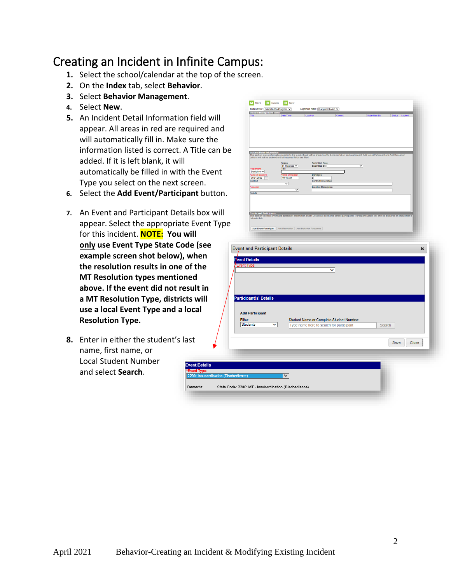## <span id="page-1-0"></span>Creating an Incident in Infinite Campus:

- **1.** Select the school/calendar at the top of the screen.
- **2.** On the **Index** tab, select **Behavior**.
- **3.** Select **Behavior Management**.
- **4.** Select **New**.
- **5.** An Incident Detail Information field appear. All areas in red are required will automatically fill in. Make sure information listed is correct. A Title added. If it is left blank, it will automatically be filled in with the E Type you select on the next screen.
- **6.** Select the Add Event/Participant b
- **7.** An Event and Participant Details bo appear. Select the appropriate Ever for this incident. **NOTE: You will only** use Event Type State Code (se **example screen shot below), when the resolution results in one of the MT Resolution types mentioned above. If the event did not result in a MT Resolution Type, districts will use a local Event Type and a local Resolution Type.**
- **8.** Enter in either the student's last name, first name, or Local Student Number and select **Search**.

|                                    | Save <b>&amp; Delete +</b> New                                                                                                                                                                                                       |                                                                                      |   |        |               |
|------------------------------------|--------------------------------------------------------------------------------------------------------------------------------------------------------------------------------------------------------------------------------------|--------------------------------------------------------------------------------------|---|--------|---------------|
|                                    | Status Filter: Submitted/In-Progress v<br><b>Incident Management Editor</b>                                                                                                                                                          | Alignment Filter: Discipline/Award V                                                 |   |        |               |
| lliw t                             | <b>Date/Time</b>                                                                                                                                                                                                                     |                                                                                      |   |        | Status Locked |
| d and                              |                                                                                                                                                                                                                                      |                                                                                      |   |        |               |
| the                                |                                                                                                                                                                                                                                      |                                                                                      |   |        |               |
| e can be                           |                                                                                                                                                                                                                                      |                                                                                      |   |        |               |
|                                    | Incident Detail Information<br>This section siters information specifie to the incident and will be shared on the behavior tab of each participant. Add Event/Participant and Add Resolution<br>buttons will not be enabled until al |                                                                                      |   |        |               |
|                                    | <b>Status</b><br>In-Progress v<br>Alignment<br>Title<br>Discipline $\mathbf{v}$<br>ſ                                                                                                                                                 | Submitted Date:<br>Submitted By:                                                     | ▿ |        |               |
| Event                              | Date of Incid<br>01/31/2022<br>10:16 AM<br>Context                                                                                                                                                                                   | Damages<br>s <br><b>Context Description</b>                                          |   |        |               |
|                                    | ◡<br>'Location                                                                                                                                                                                                                       | <b>Location Description</b><br>▿                                                     |   |        |               |
| outton.                            | <b>Details</b>                                                                                                                                                                                                                       |                                                                                      |   |        |               |
|                                    |                                                                                                                                                                                                                                      |                                                                                      |   |        |               |
| ווא xc                             | Events and Publishmats<br>This section will slove event and participant information. Event Details will be shared across participants. Participant Details will only be displayed on that person's<br>This section will              |                                                                                      |   |        |               |
| nt Type                            |                                                                                                                                                                                                                                      |                                                                                      |   |        |               |
|                                    | Add Event/Participant   Add Resolution   Add Behavior Response                                                                                                                                                                       |                                                                                      |   |        |               |
|                                    |                                                                                                                                                                                                                                      |                                                                                      |   |        |               |
| ee                                 | <b>Event and Participant Details</b>                                                                                                                                                                                                 |                                                                                      |   |        | ×             |
| n                                  | <b>Event Details</b>                                                                                                                                                                                                                 |                                                                                      |   |        |               |
| e                                  | Event Type                                                                                                                                                                                                                           |                                                                                      | ◡ |        |               |
|                                    |                                                                                                                                                                                                                                      |                                                                                      |   |        |               |
| n                                  |                                                                                                                                                                                                                                      |                                                                                      |   |        |               |
| II                                 | <b>Participant(s) Details</b>                                                                                                                                                                                                        |                                                                                      |   |        |               |
|                                    |                                                                                                                                                                                                                                      |                                                                                      |   |        |               |
|                                    | <b>Add Participant</b>                                                                                                                                                                                                               |                                                                                      |   |        |               |
|                                    | Filter:<br><b>Students</b><br>◡                                                                                                                                                                                                      | Student Name or Complete Student Number:<br>Type name here to search for participant |   | Search |               |
|                                    |                                                                                                                                                                                                                                      |                                                                                      |   |        |               |
|                                    |                                                                                                                                                                                                                                      |                                                                                      |   |        | Close<br>Save |
|                                    |                                                                                                                                                                                                                                      |                                                                                      |   |        |               |
|                                    |                                                                                                                                                                                                                                      |                                                                                      |   |        |               |
| ails                               |                                                                                                                                                                                                                                      |                                                                                      |   |        |               |
| <b>ibordination (Disobedience)</b> | $\checkmark$                                                                                                                                                                                                                         |                                                                                      |   |        |               |
|                                    | State Code: 2200: MT - Insubordination (Disobedience)                                                                                                                                                                                |                                                                                      |   |        |               |
|                                    |                                                                                                                                                                                                                                      |                                                                                      |   |        |               |

Demerits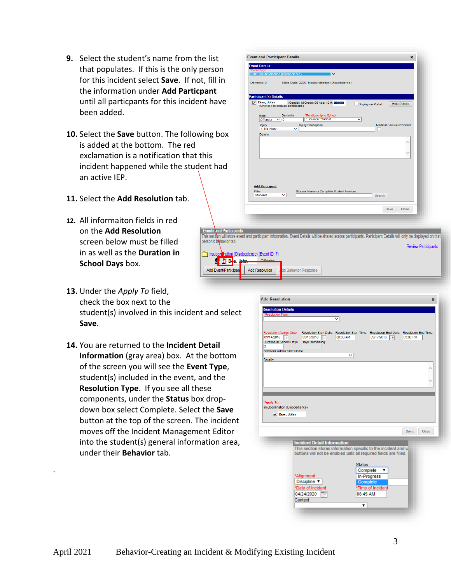- **9.** Select the student's name from the list that populates. If this is the only person for this incident select **Save**. If not, fill in the information under **Add Particpant** until all particpants for this incident have been added.
- **10.** Select the **Save** button. The following box is added at the bottom. The red exclamation is a notification that this incident happened while the student had an active IEP.
- **11.** Select the **Add Resolution** tab.
- **12.** All informaiton fields in red on the **Add Resolution** screen below must be filled in as well as the **Duration in School Days** box.
- $\overline{\mathbf{v}}$ Demerits: 0 State Code: 2200: Insubordination (Disobedience) it(s) De Doe, John<br>(Uncheck to exclude participant.) 12#: 00000 Display on Portal Hide Details  $\frac{\text{Role:}}{\text{Offender}}$   $\frac{\text{De}}{\text{O}}$ **Kelationship to<br>1: Current Stu**  $\overline{\mathbf{v}}$ Injury<br>1: No Injury **Injury Description** Medical Service **Add Participant** Filter:<br>Students Student Name or Complete Student Numbe Search Save Close **Events** and Participants This section will store event and participant information. Event Details will be shared across participants. Participant Details will only be displayed on that person's behavior tab. Review Participants Insubory hation (Disobedience) (Event ID: 7)  $\mathbf{f}$  if  $\mathbf{D}$  is  $\mathbf{c}$ . Add Event/Participal Add Resolution d Behavior Response

**Event and Participant Details** 

**13.** Under the *Apply To* field, check the box next to the

.

student(s) involved in this incident and select **Save**.

**14.** You are returned to the **Incident Detail Information** (gray area) box. At the bottom of the screen you will see the **Event Type**, student(s) included in the event, and the **Resolution Type**. If you see all these components, under the **Status** box dropdown box select Complete. Select the **Save** button at the top of the screen. The incident moves off the Incident Management Editor into the student(s) general information area, under their **Behavior** tab.

| <b>Resolution Details</b><br>*Resolution Type: |                                                                                                      |  |
|------------------------------------------------|------------------------------------------------------------------------------------------------------|--|
|                                                | ◡                                                                                                    |  |
|                                                |                                                                                                      |  |
| <b>Resolution Assign Date:</b>                 | Resolution Start Date: Resolution Start Time: Resolution End Date: Resolution End Time:              |  |
| 09/14/2016 a                                   | 09/15/2016 图<br>03:00 AM<br>09/17/2016<br>03:00 PM<br>Fы<br>Duration in School Days: Days Remaining: |  |
| Þ                                              |                                                                                                      |  |
| <b>Behavior Admin Staff Name</b>               | $\checkmark$                                                                                         |  |
| Details:                                       |                                                                                                      |  |
|                                                |                                                                                                      |  |
|                                                |                                                                                                      |  |
|                                                |                                                                                                      |  |
|                                                |                                                                                                      |  |
|                                                |                                                                                                      |  |
|                                                |                                                                                                      |  |
|                                                |                                                                                                      |  |
|                                                |                                                                                                      |  |
| $\Box$ Doe, John                               |                                                                                                      |  |
|                                                | <b>Save</b><br>Close                                                                                 |  |
|                                                |                                                                                                      |  |
|                                                | <b>Incident Detail Information</b>                                                                   |  |
|                                                | This section stores information specific to the incident and w                                       |  |
|                                                | buttons will not be enabled until all required fields are filled.                                    |  |
|                                                | <b>Status</b>                                                                                        |  |
|                                                | Complete                                                                                             |  |
|                                                | *Alignment                                                                                           |  |
|                                                | In-Progress<br>Discipline v<br>Complete                                                              |  |
|                                                | *Time of Incident<br>*Date of Incident                                                               |  |
|                                                | 04/24/2020<br>08:45 AM                                                                               |  |
| *Apply To:<br>Insubordination (Disobedience)   | г≖<br>Context                                                                                        |  |